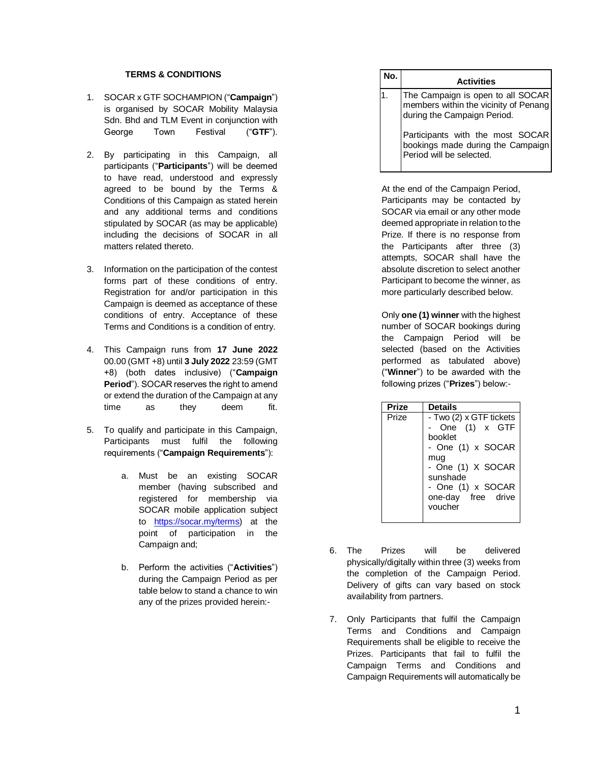## **TERMS & CONDITIONS**

- 1. SOCAR x GTF SOCHAMPION ("**Campaign**") is organised by SOCAR Mobility Malaysia Sdn. Bhd and TLM Event in conjunction with George Town Festival ("**GTF**").
- 2. By participating in this Campaign, all participants ("**Participants**") will be deemed to have read, understood and expressly agreed to be bound by the Terms & Conditions of this Campaign as stated herein and any additional terms and conditions stipulated by SOCAR (as may be applicable) including the decisions of SOCAR in all matters related thereto.
- 3. Information on the participation of the contest forms part of these conditions of entry. Registration for and/or participation in this Campaign is deemed as acceptance of these conditions of entry. Acceptance of these Terms and Conditions is a condition of entry.
- 4. This Campaign runs from **17 June 2022**  00.00 (GMT +8) until **3 July 2022** 23:59 (GMT +8) (both dates inclusive) ("**Campaign Period**"). SOCAR reserves the right to amend or extend the duration of the Campaign at any time as they deem fit.
- 5. To qualify and participate in this Campaign, Participants must fulfil the following requirements ("**Campaign Requirements**"):
	- a. Must be an existing SOCAR member (having subscribed and registered for membership via SOCAR mobile application subject to [https://socar.my/terms\)](https://socar.my/terms) at the point of participation in the Campaign and;
	- b. Perform the activities ("**Activities**") during the Campaign Period as per table below to stand a chance to win any of the prizes provided herein:-

| No. | <b>Activities</b>                                                                                         |
|-----|-----------------------------------------------------------------------------------------------------------|
|     | The Campaign is open to all SOCAR<br>members within the vicinity of Penang<br>during the Campaign Period. |
|     | Participants with the most SOCAR<br>bookings made during the Campaign                                     |

At the end of the Campaign Period, Participants may be contacted by SOCAR via email or any other mode deemed appropriate in relation to the Prize. If there is no response from the Participants after three (3) attempts, SOCAR shall have the absolute discretion to select another Participant to become the winner, as more particularly described below.

Only **one (1) winner** with the highest number of SOCAR bookings during the Campaign Period will be selected (based on the Activities performed as tabulated above) ("**Winner**") to be awarded with the following prizes ("**Prizes**") below:-

| Prize | <b>Details</b>                                                                                                                                                         |
|-------|------------------------------------------------------------------------------------------------------------------------------------------------------------------------|
| Prize | - Two (2) x GTF tickets<br>One (1) x GTF<br>booklet<br>- One (1) x SOCAR<br>mug<br>- One (1) X SOCAR<br>sunshade<br>- One (1) x SOCAR<br>one-day free drive<br>voucher |
|       |                                                                                                                                                                        |

- 6. The Prizes will be delivered physically/digitally within three (3) weeks from the completion of the Campaign Period. Delivery of gifts can vary based on stock availability from partners.
- 7. Only Participants that fulfil the Campaign Terms and Conditions and Campaign Requirements shall be eligible to receive the Prizes. Participants that fail to fulfil the Campaign Terms and Conditions and Campaign Requirements will automatically be